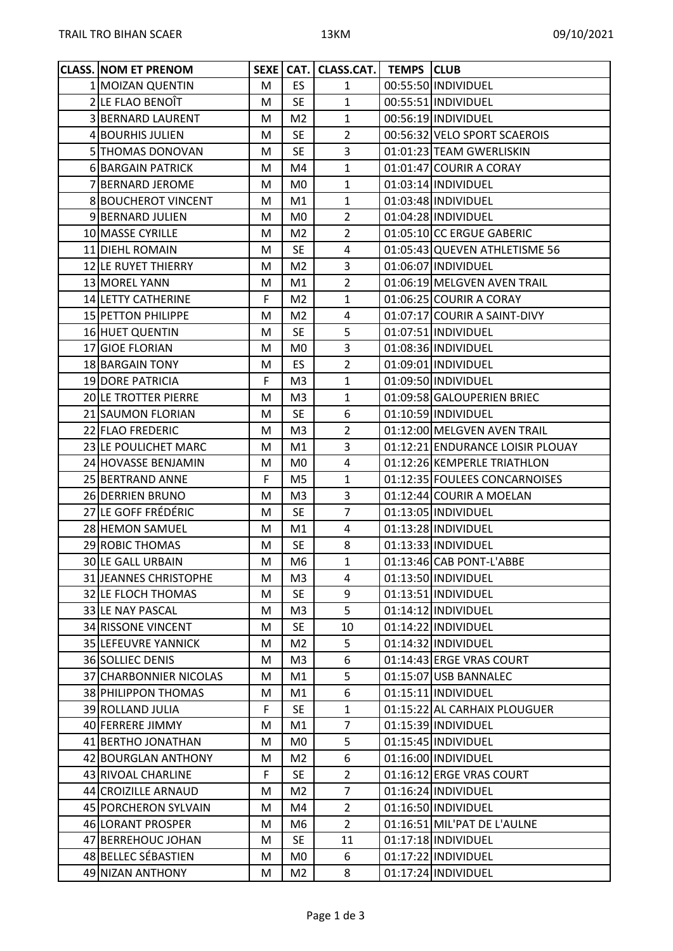| <b>CLASS. NOM ET PRENOM</b> |   |                | SEXE   CAT.   CLASS.CAT.   TEMPS   CLUB |                                  |
|-----------------------------|---|----------------|-----------------------------------------|----------------------------------|
| 1 MOIZAN QUENTIN            | M | <b>ES</b>      | $\mathbf{1}$                            | 00:55:50 INDIVIDUEL              |
| 2 LE FLAO BENOÎT            | M | <b>SE</b>      | $\mathbf{1}$                            | 00:55:51 INDIVIDUEL              |
| 3 BERNARD LAURENT           | M | M <sub>2</sub> | $\mathbf{1}$                            | 00:56:19 INDIVIDUEL              |
| 4 BOURHIS JULIEN            | м | <b>SE</b>      | $\overline{2}$                          | 00:56:32 VELO SPORT SCAEROIS     |
| 5 THOMAS DONOVAN            | M | <b>SE</b>      | 3                                       | 01:01:23 TEAM GWERLISKIN         |
| 6 BARGAIN PATRICK           | м | M4             | $\mathbf{1}$                            | 01:01:47 COURIR A CORAY          |
| 7 BERNARD JEROME            | М | M0             | $\mathbf{1}$                            | 01:03:14 INDIVIDUEL              |
| <b>8 BOUCHEROT VINCENT</b>  | м | M1             | $\mathbf{1}$                            | 01:03:48 INDIVIDUEL              |
| 9 BERNARD JULIEN            | М | M <sub>0</sub> | $\overline{2}$                          | 01:04:28 INDIVIDUEL              |
| 10 MASSE CYRILLE            | M | M <sub>2</sub> | $\overline{2}$                          | 01:05:10 CC ERGUE GABERIC        |
| 11 DIEHL ROMAIN             | м | <b>SE</b>      | $\overline{4}$                          | 01:05:43 QUEVEN ATHLETISME 56    |
| 12 LE RUYET THIERRY         | M | M <sub>2</sub> | 3                                       | 01:06:07 INDIVIDUEL              |
| 13 MOREL YANN               | M | M1             | $\overline{2}$                          | 01:06:19 MELGVEN AVEN TRAIL      |
| 14 LETTY CATHERINE          | F | M <sub>2</sub> | $\mathbf{1}$                            | 01:06:25 COURIR A CORAY          |
| 15 PETTON PHILIPPE          | м | M <sub>2</sub> | 4                                       | 01:07:17 COURIR A SAINT-DIVY     |
| 16 HUET QUENTIN             | м | <b>SE</b>      | 5                                       | 01:07:51 INDIVIDUEL              |
| 17 GIOE FLORIAN             | M | M0             | 3                                       | 01:08:36 INDIVIDUEL              |
| 18 BARGAIN TONY             | М | ES.            | $\overline{2}$                          | 01:09:01 INDIVIDUEL              |
| 19 DORE PATRICIA            | F | M3             | $\mathbf{1}$                            | 01:09:50 INDIVIDUEL              |
| 20 LE TROTTER PIERRE        | M | M <sub>3</sub> | $\mathbf{1}$                            | 01:09:58 GALOUPERIEN BRIEC       |
| 21 SAUMON FLORIAN           | м | <b>SE</b>      | 6                                       | 01:10:59 INDIVIDUEL              |
| 22 FLAO FREDERIC            | M | M <sub>3</sub> | $\overline{2}$                          | 01:12:00 MELGVEN AVEN TRAIL      |
| 23 LE POULICHET MARC        | М | M1             | 3                                       | 01:12:21 ENDURANCE LOISIR PLOUAY |
| 24 HOVASSE BENJAMIN         | M | M <sub>0</sub> | $\overline{4}$                          | 01:12:26 KEMPERLE TRIATHLON      |
| 25 BERTRAND ANNE            | F | M5             | $\mathbf{1}$                            | 01:12:35 FOULEES CONCARNOISES    |
| 26 DERRIEN BRUNO            | M | M3             | 3                                       | 01:12:44 COURIR A MOELAN         |
| 27 LE GOFF FRÉDÉRIC         | м | <b>SE</b>      | $\overline{7}$                          | 01:13:05 INDIVIDUEL              |
| 28 HEMON SAMUEL             | М | M1             | 4                                       | 01:13:28 INDIVIDUEL              |
| 29 ROBIC THOMAS             | M | <b>SE</b>      | 8                                       | 01:13:33 INDIVIDUEL              |
| <b>30 LE GALL URBAIN</b>    | M | M6             | $\mathbf{1}$                            | 01:13:46 CAB PONT-L'ABBE         |
| 31 JEANNES CHRISTOPHE       | M | M3             | 4                                       | 01:13:50 INDIVIDUEL              |
| 32 LE FLOCH THOMAS          | М | <b>SE</b>      | 9                                       | 01:13:51 INDIVIDUEL              |
| 33 LE NAY PASCAL            | M | M3             | 5                                       | 01:14:12 INDIVIDUEL              |
| 34 RISSONE VINCENT          | м | <b>SE</b>      | 10                                      | 01:14:22 INDIVIDUEL              |
| 35 LEFEUVRE YANNICK         | М | M <sub>2</sub> | 5                                       | 01:14:32 INDIVIDUEL              |
| 36 SOLLIEC DENIS            | M | M3             | 6                                       | 01:14:43 ERGE VRAS COURT         |
| 37 CHARBONNIER NICOLAS      | М | M1             | 5                                       | 01:15:07 USB BANNALEC            |
| 38 PHILIPPON THOMAS         | М | M1             | 6                                       | 01:15:11 INDIVIDUEL              |
| 39 ROLLAND JULIA            | F | <b>SE</b>      | $\mathbf{1}$                            | 01:15:22 AL CARHAIX PLOUGUER     |
| 40 FERRERE JIMMY            | M | M1             | $\overline{7}$                          | 01:15:39 INDIVIDUEL              |
| 41 BERTHO JONATHAN          | M | M <sub>0</sub> | 5                                       | 01:15:45  INDIVIDUEL             |
| 42 BOURGLAN ANTHONY         | М | M <sub>2</sub> | 6                                       | 01:16:00 INDIVIDUEL              |
| 43 RIVOAL CHARLINE          | F | <b>SE</b>      | $\overline{2}$                          | 01:16:12 ERGE VRAS COURT         |
| 44 CROIZILLE ARNAUD         | м | M <sub>2</sub> | $\overline{7}$                          | 01:16:24 INDIVIDUEL              |
| 45 PORCHERON SYLVAIN        | M | M4             | $\overline{2}$                          | 01:16:50 INDIVIDUEL              |
| 46 LORANT PROSPER           | M | M6             | $\overline{2}$                          | 01:16:51 MIL'PAT DE L'AULNE      |
| 47 BERREHOUC JOHAN          | М | <b>SE</b>      | 11                                      | 01:17:18 INDIVIDUEL              |
| 48 BELLEC SÉBASTIEN         | M | M <sub>0</sub> | 6                                       | 01:17:22 INDIVIDUEL              |
| 49 NIZAN ANTHONY            | Μ | M <sub>2</sub> | 8                                       | 01:17:24 INDIVIDUEL              |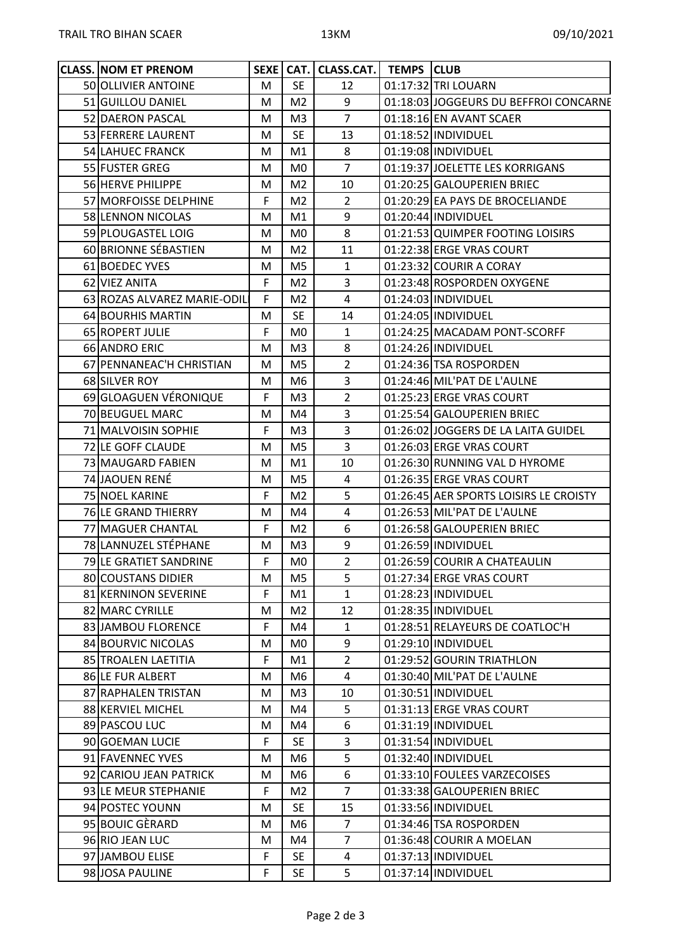| <b>CLASS. NOM ET PRENOM</b> |             |                | SEXE   CAT.   CLASS.CAT.   TEMPS   CLUB |                                        |
|-----------------------------|-------------|----------------|-----------------------------------------|----------------------------------------|
| 50 OLLIVIER ANTOINE         | M           | <b>SE</b>      | 12                                      | 01:17:32 TRI LOUARN                    |
| 51 GUILLOU DANIEL           | M           | M <sub>2</sub> | 9                                       | 01:18:03 JOGGEURS DU BEFFROI CONCARNE  |
| 52 DAERON PASCAL            | М           | M3             | $\overline{7}$                          | 01:18:16 EN AVANT SCAER                |
| 53 FERRERE LAURENT          | M           | <b>SE</b>      | 13                                      | 01:18:52 INDIVIDUEL                    |
| 54 LAHUEC FRANCK            | M           | M1             | 8                                       | 01:19:08 INDIVIDUEL                    |
| 55 FUSTER GREG              | м           | M0             | $\overline{7}$                          | 01:19:37 JOELETTE LES KORRIGANS        |
| 56 HERVE PHILIPPE           | м           | M <sub>2</sub> | 10                                      | 01:20:25 GALOUPERIEN BRIEC             |
| 57 MORFOISSE DELPHINE       | F           | M <sub>2</sub> | $\overline{2}$                          | 01:20:29 EA PAYS DE BROCELIANDE        |
| 58 LENNON NICOLAS           | м           | M1             | 9                                       | 01:20:44 INDIVIDUEL                    |
| 59 PLOUGASTEL LOIG          | м           | M0             | 8                                       | 01:21:53 QUIMPER FOOTING LOISIRS       |
| 60 BRIONNE SÉBASTIEN        | M           | M <sub>2</sub> | 11                                      | 01:22:38 ERGE VRAS COURT               |
| 61 BOEDEC YVES              | M           | M5             | $\mathbf{1}$                            | 01:23:32 COURIR A CORAY                |
| 62 VIEZ ANITA               | $\mathsf F$ | M <sub>2</sub> | $\overline{3}$                          | 01:23:48 ROSPORDEN OXYGENE             |
| 63 ROZAS ALVAREZ MARIE-ODIL | F           | M <sub>2</sub> | $\overline{4}$                          | 01:24:03 INDIVIDUEL                    |
| 64 BOURHIS MARTIN           | M           | <b>SE</b>      | 14                                      | 01:24:05 INDIVIDUEL                    |
| 65 ROPERT JULIE             | F           | M0             | $\mathbf{1}$                            | 01:24:25 MACADAM PONT-SCORFF           |
| 66 ANDRO ERIC               | M           | M <sub>3</sub> | 8                                       | 01:24:26 INDIVIDUEL                    |
| 67 PENNANEAC'H CHRISTIAN    | м           | M <sub>5</sub> | $\overline{2}$                          | 01:24:36 TSA ROSPORDEN                 |
| 68 SILVER ROY               | М           | M6             | 3                                       | 01:24:46 MIL'PAT DE L'AULNE            |
| 69 GLOAGUEN VÉRONIQUE       | F           | M3             | $\overline{2}$                          | 01:25:23 ERGE VRAS COURT               |
| 70 BEUGUEL MARC             | M           | M4             | 3                                       | 01:25:54 GALOUPERIEN BRIEC             |
| 71 MALVOISIN SOPHIE         | F           | M <sub>3</sub> | 3                                       | 01:26:02 JOGGERS DE LA LAITA GUIDEL    |
| 72 LE GOFF CLAUDE           | M           | M5             | 3                                       | 01:26:03 ERGE VRAS COURT               |
| 73 MAUGARD FABIEN           | м           | M1             | 10                                      | 01:26:30 RUNNING VAL D HYROME          |
| 74 JAOUEN RENÉ              | м           | M5             | 4                                       | 01:26:35 ERGE VRAS COURT               |
| 75 NOEL KARINE              | F           | M <sub>2</sub> | 5                                       | 01:26:45 AER SPORTS LOISIRS LE CROISTY |
| 76 LE GRAND THIERRY         | M           | M4             | $\overline{4}$                          | 01:26:53 MIL'PAT DE L'AULNE            |
| 77 MAGUER CHANTAL           | F           | M <sub>2</sub> | 6                                       | 01:26:58 GALOUPERIEN BRIEC             |
| 78 LANNUZEL STÉPHANE        | M           | M3             | 9                                       | 01:26:59 INDIVIDUEL                    |
| 79 LE GRATIET SANDRINE      | F           | M <sub>0</sub> | $\overline{2}$                          | 01:26:59 COURIR A CHATEAULIN           |
| 80 COUSTANS DIDIER          | М           | M5             | 5                                       | 01:27:34 ERGE VRAS COURT               |
| 81 KERNINON SEVERINE        | F           | M1             | $\mathbf{1}$                            | 01:28:23 INDIVIDUEL                    |
| 82 MARC CYRILLE             | M           | M <sub>2</sub> | 12                                      | 01:28:35 INDIVIDUEL                    |
| 83 JAMBOU FLORENCE          | F           | M4             | $\mathbf{1}$                            | 01:28:51 RELAYEURS DE COATLOC'H        |
| 84 BOURVIC NICOLAS          | M           | M0             | 9                                       | 01:29:10 INDIVIDUEL                    |
| 85 TROALEN LAETITIA         | F           | M1             | $\overline{2}$                          | 01:29:52 GOURIN TRIATHLON              |
| 86 LE FUR ALBERT            | М           | M6             | 4                                       | 01:30:40 MIL'PAT DE L'AULNE            |
| 87 RAPHALEN TRISTAN         | М           | M3             | 10                                      | 01:30:51 INDIVIDUEL                    |
| 88 KERVIEL MICHEL           | M           | M4             | 5                                       | 01:31:13 ERGE VRAS COURT               |
| 89 PASCOU LUC               | M           | M4             | 6                                       | 01:31:19 INDIVIDUEL                    |
| 90 GOEMAN LUCIE             | F           | <b>SE</b>      | $\overline{3}$                          | 01:31:54 INDIVIDUEL                    |
| 91 FAVENNEC YVES            | М           | M6             | 5                                       | 01:32:40 INDIVIDUEL                    |
| 92 CARIOU JEAN PATRICK      | M           | M6             | 6                                       | 01:33:10 FOULEES VARZECOISES           |
| 93 LE MEUR STEPHANIE        | F           |                | $\overline{7}$                          | 01:33:38 GALOUPERIEN BRIEC             |
|                             |             | M <sub>2</sub> |                                         |                                        |
| 94 POSTEC YOUNN             | М           | <b>SE</b>      | 15                                      | 01:33:56 INDIVIDUEL                    |
| 95 BOUIC GÈRARD             | M           | M6             | $\overline{7}$                          | 01:34:46 TSA ROSPORDEN                 |
| 96 RIO JEAN LUC             | M           | M4             | $\overline{7}$                          | 01:36:48 COURIR A MOELAN               |
| 97 JAMBOU ELISE             | F           | <b>SE</b>      | 4                                       | 01:37:13 INDIVIDUEL                    |
| 98 JOSA PAULINE             | F           | <b>SE</b>      | 5                                       | 01:37:14 INDIVIDUEL                    |